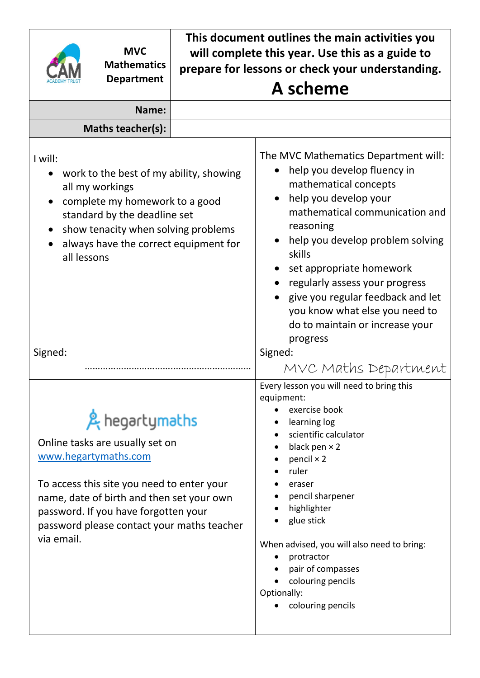| <b>MVC</b><br><b>Mathematics</b><br><b>Department</b>                                                                                                                                                                                                                    | This document outlines the main activities you<br>will complete this year. Use this as a guide to<br>prepare for lessons or check your understanding.<br>A scheme |                                                                                                                                                                                                                                                                                                                                                                                                        |  |  |
|--------------------------------------------------------------------------------------------------------------------------------------------------------------------------------------------------------------------------------------------------------------------------|-------------------------------------------------------------------------------------------------------------------------------------------------------------------|--------------------------------------------------------------------------------------------------------------------------------------------------------------------------------------------------------------------------------------------------------------------------------------------------------------------------------------------------------------------------------------------------------|--|--|
| Name:                                                                                                                                                                                                                                                                    |                                                                                                                                                                   |                                                                                                                                                                                                                                                                                                                                                                                                        |  |  |
| Maths teacher(s):                                                                                                                                                                                                                                                        |                                                                                                                                                                   |                                                                                                                                                                                                                                                                                                                                                                                                        |  |  |
| I will:<br>work to the best of my ability, showing<br>all my workings<br>complete my homework to a good<br>standard by the deadline set<br>show tenacity when solving problems<br>always have the correct equipment for<br>all lessons                                   |                                                                                                                                                                   | The MVC Mathematics Department will:<br>help you develop fluency in<br>mathematical concepts<br>help you develop your<br>mathematical communication and<br>reasoning<br>help you develop problem solving<br>skills<br>set appropriate homework<br>regularly assess your progress<br>give you regular feedback and let<br>you know what else you need to<br>do to maintain or increase your<br>progress |  |  |
| Signed:                                                                                                                                                                                                                                                                  |                                                                                                                                                                   | Signed:<br>MVC Maths Department                                                                                                                                                                                                                                                                                                                                                                        |  |  |
| & hegartymaths<br>Online tasks are usually set on<br>www.hegartymaths.com<br>To access this site you need to enter your<br>name, date of birth and then set your own<br>password. If you have forgotten your<br>password please contact your maths teacher<br>via email. |                                                                                                                                                                   | Every lesson you will need to bring this<br>equipment:<br>exercise book<br>learning log<br>scientific calculator<br>black pen $\times$ 2<br>pencil $\times$ 2<br>ruler<br>eraser<br>pencil sharpener<br>highlighter<br>glue stick<br>When advised, you will also need to bring:<br>protractor<br>pair of compasses<br>colouring pencils<br>Optionally:<br>colouring pencils                            |  |  |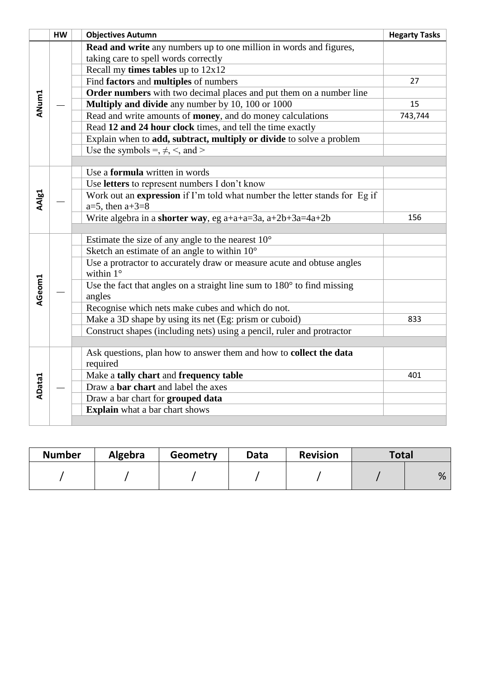|               | HW | <b>Objectives Autumn</b>                                                                   | <b>Hegarty Tasks</b> |
|---------------|----|--------------------------------------------------------------------------------------------|----------------------|
|               |    | <b>Read and write</b> any numbers up to one million in words and figures,                  |                      |
|               |    | taking care to spell words correctly                                                       |                      |
|               |    | Recall my <b>times tables</b> up to $12x12$                                                |                      |
|               |    | Find factors and multiples of numbers                                                      | 27                   |
|               |    | Order numbers with two decimal places and put them on a number line                        |                      |
| ANum1         |    | Multiply and divide any number by 10, 100 or 1000                                          | 15                   |
|               |    | Read and write amounts of <b>money</b> , and do money calculations                         | 743,744              |
|               |    | Read 12 and 24 hour clock times, and tell the time exactly                                 |                      |
|               |    | Explain when to add, subtract, multiply or divide to solve a problem                       |                      |
|               |    | Use the symbols =, $\neq$ , <, and >                                                       |                      |
|               |    |                                                                                            |                      |
|               |    | Use a <b>formula</b> written in words                                                      |                      |
|               |    | Use letters to represent numbers I don't know                                              |                      |
| AAIg1         |    | Work out an expression if I'm told what number the letter stands for Eg if                 |                      |
|               |    | $a=5$ , then $a+3=8$                                                                       |                      |
|               |    | Write algebra in a shorter way, eg a+a+a=3a, a+2b+3a=4a+2b                                 | 156                  |
|               |    |                                                                                            |                      |
|               |    | Estimate the size of any angle to the nearest $10^{\circ}$                                 |                      |
|               |    | Sketch an estimate of an angle to within $10^{\circ}$                                      |                      |
|               |    | Use a protractor to accurately draw or measure acute and obtuse angles<br>within $1^\circ$ |                      |
|               |    |                                                                                            |                      |
| AGeom1        |    | Use the fact that angles on a straight line sum to $180^\circ$ to find missing<br>angles   |                      |
|               |    | Recognise which nets make cubes and which do not.                                          |                      |
|               |    | Make a 3D shape by using its net (Eg: prism or cuboid)                                     | 833                  |
|               |    | Construct shapes (including nets) using a pencil, ruler and protractor                     |                      |
|               |    |                                                                                            |                      |
|               |    | Ask questions, plan how to answer them and how to collect the data                         |                      |
|               |    | required                                                                                   |                      |
|               |    | Make a tally chart and frequency table                                                     | 401                  |
| <b>AData1</b> |    | Draw a <b>bar</b> chart and label the axes                                                 |                      |
|               |    | Draw a bar chart for grouped data                                                          |                      |
|               |    | <b>Explain</b> what a bar chart shows                                                      |                      |
|               |    |                                                                                            |                      |

| <b>Number</b> | Algebra | Geometry | Data | <b>Revision</b> | Total |   |
|---------------|---------|----------|------|-----------------|-------|---|
|               |         |          |      |                 |       | % |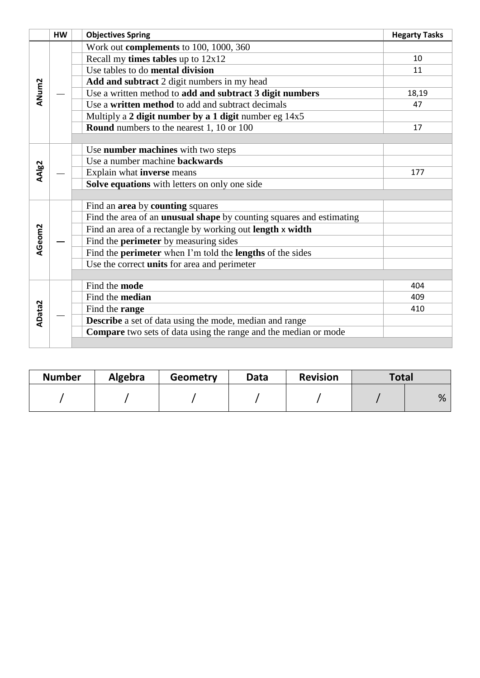|               | <b>HW</b> | <b>Objectives Spring</b>                                                    | <b>Hegarty Tasks</b> |
|---------------|-----------|-----------------------------------------------------------------------------|----------------------|
|               |           | Work out complements to 100, 1000, 360                                      |                      |
|               |           | Recall my <b>times tables</b> up to $12x12$                                 | 10                   |
|               |           | Use tables to do mental division                                            | 11                   |
|               |           | Add and subtract 2 digit numbers in my head                                 |                      |
| ANum2         |           | Use a written method to add and subtract 3 digit numbers                    | 18,19                |
|               |           | Use a written method to add and subtract decimals                           | 47                   |
|               |           | Multiply a 2 digit number by a 1 digit number eg 14x5                       |                      |
|               |           | <b>Round</b> numbers to the nearest 1, 10 or 100                            | 17                   |
|               |           |                                                                             |                      |
|               |           | Use number machines with two steps                                          |                      |
|               |           | Use a number machine backwards                                              |                      |
| AAlg2         |           | Explain what inverse means                                                  | 177                  |
|               |           | Solve equations with letters on only one side                               |                      |
|               |           |                                                                             |                      |
|               |           | Find an area by counting squares                                            |                      |
|               |           | Find the area of an <b>unusual shape</b> by counting squares and estimating |                      |
|               |           | Find an area of a rectangle by working out length x width                   |                      |
| AGeom2        |           | Find the <b>perimeter</b> by measuring sides                                |                      |
|               |           | Find the <b>perimeter</b> when I'm told the <b>lengths</b> of the sides     |                      |
|               |           | Use the correct <b>units</b> for area and perimeter                         |                      |
|               |           |                                                                             |                      |
|               |           | Find the mode                                                               | 404                  |
|               |           | Find the median                                                             | 409                  |
| <b>AData2</b> |           | Find the range                                                              | 410                  |
|               |           | Describe a set of data using the mode, median and range                     |                      |
|               |           | Compare two sets of data using the range and the median or mode             |                      |
|               |           |                                                                             |                      |

| <b>Number</b> | <b>Algebra</b> | Geometry | Data | <b>Revision</b> | Total |   |
|---------------|----------------|----------|------|-----------------|-------|---|
|               |                |          |      |                 |       | % |